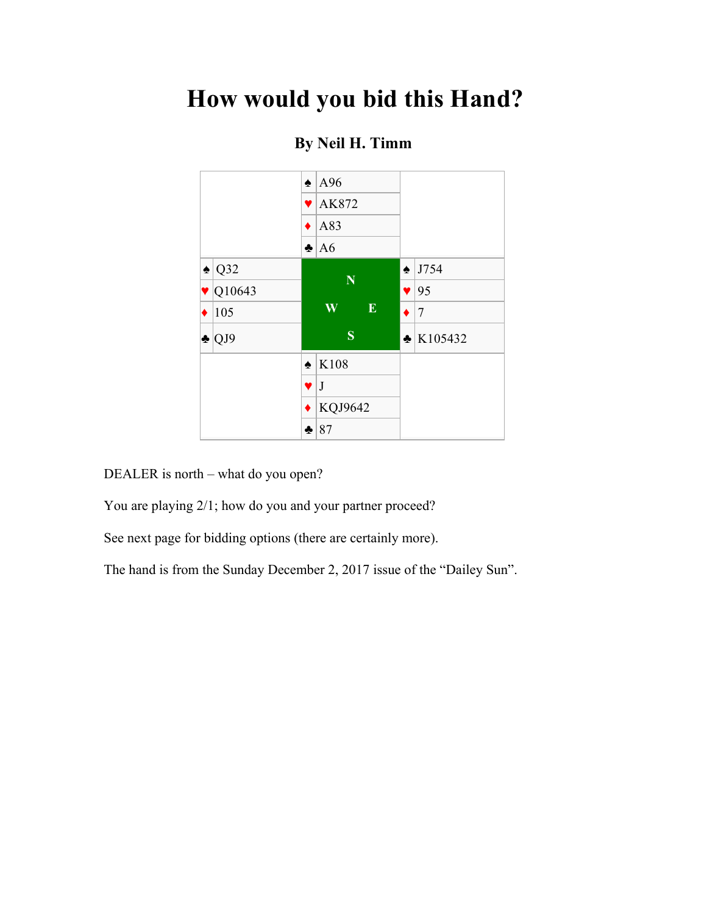## **How would you bid this Hand?**



### **By Neil H. Timm**

DEALER is north – what do you open?

You are playing 2/1; how do you and your partner proceed?

See next page for bidding options (there are certainly more).

The hand is from the Sunday December 2, 2017 issue of the "Dailey Sun".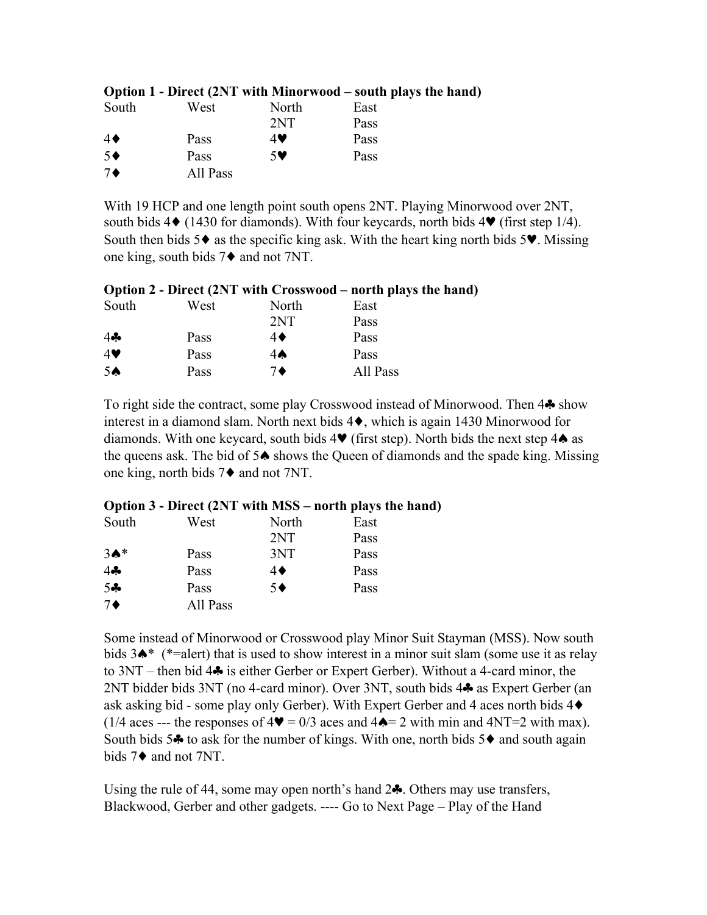| South            | West     | North | East |
|------------------|----------|-------|------|
|                  |          | 2NT   | Pass |
| $4\blacklozenge$ | Pass     | 4V    | Pass |
| $5^{\bullet}$    | Pass     | $5$ V | Pass |
| $7\blacklozenge$ | All Pass |       |      |

#### **Option 1 - Direct (2NT with Minorwood – south plays the hand)**

With 19 HCP and one length point south opens 2NT. Playing Minorwood over 2NT, south bids  $4\blacklozenge$  (1430 for diamonds). With four keycards, north bids  $4\Psi$  (first step 1/4). South then bids  $5\blacklozenge$  as the specific king ask. With the heart king north bids  $5\blacktriangledown$ . Missing one king, south bids 7♦ and not 7NT.

#### **Option 2 - Direct (2NT with Crosswood – north plays the hand)**

| South          | West | North            | East     |
|----------------|------|------------------|----------|
|                |      | 2NT              | Pass     |
| 4              | Pass | $4\blacklozenge$ | Pass     |
| 4              | Pass | $4\spadesuit$    | Pass     |
| 5 <sub>•</sub> | Pass | 7♦               | All Pass |

To right side the contract, some play Crosswood instead of Minorwood. Then 4♣ show interest in a diamond slam. North next bids 4♦, which is again 1430 Minorwood for diamonds. With one keycard, south bids  $4\Psi$  (first step). North bids the next step  $4\spadesuit$  as the queens ask. The bid of 5♠ shows the Queen of diamonds and the spade king. Missing one king, north bids 7♦ and not 7NT.

#### **Option 3 - Direct (2NT with MSS – north plays the hand)**

| South            | West     | North         | East |
|------------------|----------|---------------|------|
|                  |          | 2NT           | Pass |
| $3A*$            | Pass     | 3NT           | Pass |
| $4 -$            | Pass     | 4♦            | Pass |
| $5 -$            | Pass     | $5^{\bullet}$ | Pass |
| $7\blacklozenge$ | All Pass |               |      |

Some instead of Minorwood or Crosswood play Minor Suit Stayman (MSS). Now south bids 3♠\* (\*=alert) that is used to show interest in a minor suit slam (some use it as relay to 3NT – then bid 4♣ is either Gerber or Expert Gerber). Without a 4-card minor, the 2NT bidder bids 3NT (no 4-card minor). Over 3NT, south bids 4♣ as Expert Gerber (an ask asking bid - some play only Gerber). With Expert Gerber and 4 aces north bids 4♦ (1/4 aces --- the responses of  $4\Psi = 0/3$  aces and  $4\blacktriangle = 2$  with min and  $4NT=2$  with max). South bids 5 $\clubsuit$  to ask for the number of kings. With one, north bids 5 $\spadesuit$  and south again bids 7♦ and not 7NT.

Using the rule of 44, some may open north's hand  $2\clubsuit$ . Others may use transfers, Blackwood, Gerber and other gadgets. ---- Go to Next Page – Play of the Hand